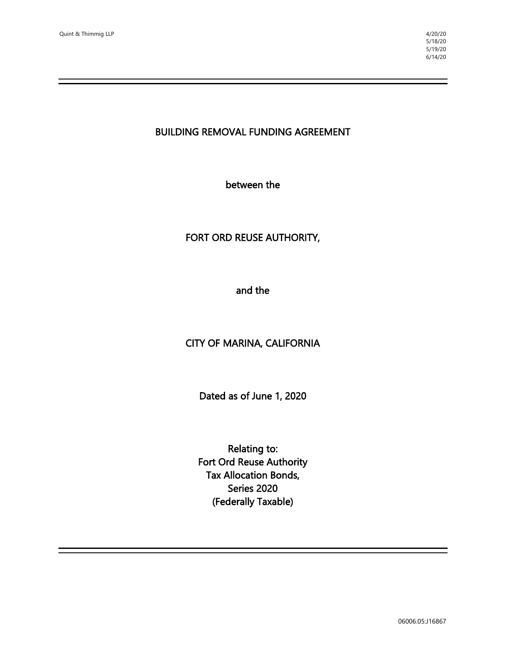#### BUILDING REMOVAL FUNDING AGREEMENT

between the

## FORT ORD REUSE AUTHORITY,

and the

# CITY OF MARINA, CALIFORNIA

Dated as of June 1, 2020

Relating to: Fort Ord Reuse Authority Tax Allocation Bonds, Series 2020 (Federally Taxable)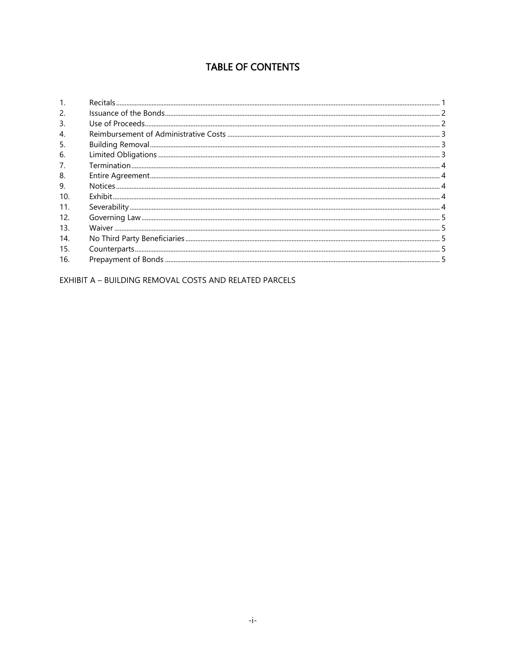# **TABLE OF CONTENTS**

| 2.  |  |
|-----|--|
| 3.  |  |
| 4.  |  |
| 5.  |  |
| 6.  |  |
|     |  |
| 8.  |  |
| 9.  |  |
| 10. |  |
| 11. |  |
| 12. |  |
| 13. |  |
| 14. |  |
| 15. |  |
| 16. |  |

EXHIBIT A - BUILDING REMOVAL COSTS AND RELATED PARCELS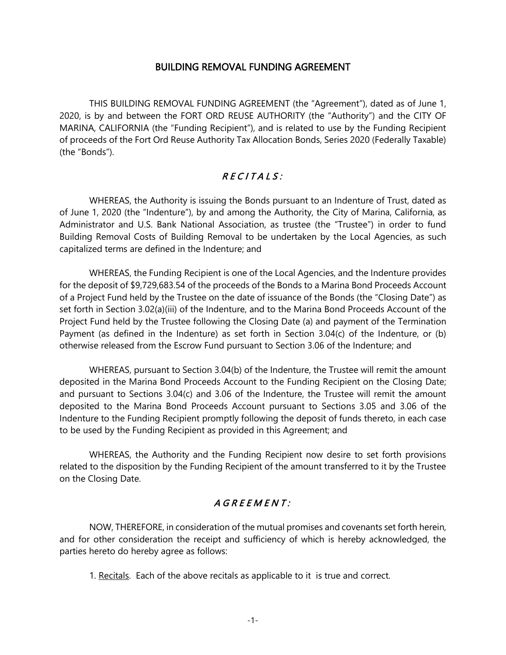#### BUILDING REMOVAL FUNDING AGREEMENT

THIS BUILDING REMOVAL FUNDING AGREEMENT (the "Agreement"), dated as of June 1, 2020, is by and between the FORT ORD REUSE AUTHORITY (the "Authority") and the CITY OF MARINA, CALIFORNIA (the "Funding Recipient"), and is related to use by the Funding Recipient of proceeds of the Fort Ord Reuse Authority Tax Allocation Bonds, Series 2020 (Federally Taxable) (the "Bonds").

## $RECIIALS:$

WHEREAS, the Authority is issuing the Bonds pursuant to an Indenture of Trust, dated as of June 1, 2020 (the "Indenture"), by and among the Authority, the City of Marina, California, as Administrator and U.S. Bank National Association, as trustee (the "Trustee") in order to fund Building Removal Costs of Building Removal to be undertaken by the Local Agencies, as such capitalized terms are defined in the Indenture; and

WHEREAS, the Funding Recipient is one of the Local Agencies, and the Indenture provides for the deposit of \$9,729,683.54 of the proceeds of the Bonds to a Marina Bond Proceeds Account of a Project Fund held by the Trustee on the date of issuance of the Bonds (the "Closing Date") as set forth in Section 3.02(a)(iii) of the Indenture, and to the Marina Bond Proceeds Account of the Project Fund held by the Trustee following the Closing Date (a) and payment of the Termination Payment (as defined in the Indenture) as set forth in Section 3.04(c) of the Indenture, or (b) otherwise released from the Escrow Fund pursuant to Section 3.06 of the Indenture; and

WHEREAS, pursuant to Section 3.04(b) of the Indenture, the Trustee will remit the amount deposited in the Marina Bond Proceeds Account to the Funding Recipient on the Closing Date; and pursuant to Sections 3.04(c) and 3.06 of the Indenture, the Trustee will remit the amount deposited to the Marina Bond Proceeds Account pursuant to Sections 3.05 and 3.06 of the Indenture to the Funding Recipient promptly following the deposit of funds thereto, in each case to be used by the Funding Recipient as provided in this Agreement; and

WHEREAS, the Authority and the Funding Recipient now desire to set forth provisions related to the disposition by the Funding Recipient of the amount transferred to it by the Trustee on the Closing Date.

# A G R E E M E N T :

NOW, THEREFORE, in consideration of the mutual promises and covenants set forth herein, and for other consideration the receipt and sufficiency of which is hereby acknowledged, the parties hereto do hereby agree as follows:

1. Recitals. Each of the above recitals as applicable to it is true and correct.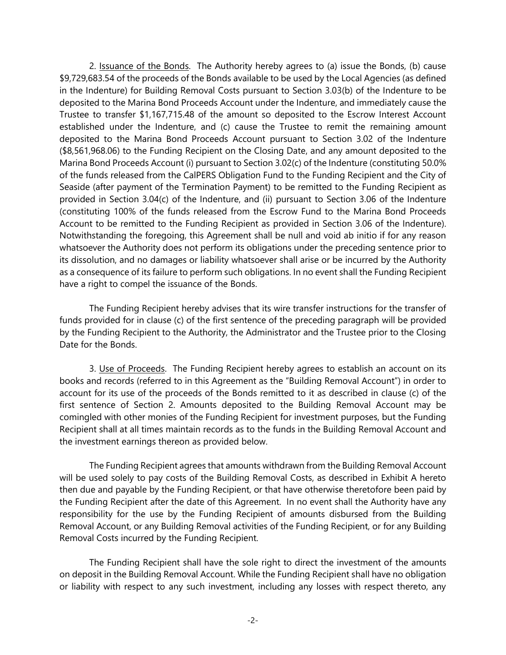2. Issuance of the Bonds. The Authority hereby agrees to (a) issue the Bonds, (b) cause \$9,729,683.54 of the proceeds of the Bonds available to be used by the Local Agencies (as defined in the Indenture) for Building Removal Costs pursuant to Section 3.03(b) of the Indenture to be deposited to the Marina Bond Proceeds Account under the Indenture, and immediately cause the Trustee to transfer \$1,167,715.48 of the amount so deposited to the Escrow Interest Account established under the Indenture, and (c) cause the Trustee to remit the remaining amount deposited to the Marina Bond Proceeds Account pursuant to Section 3.02 of the Indenture (\$8,561,968.06) to the Funding Recipient on the Closing Date, and any amount deposited to the Marina Bond Proceeds Account (i) pursuant to Section 3.02(c) of the Indenture (constituting 50.0% of the funds released from the CalPERS Obligation Fund to the Funding Recipient and the City of Seaside (after payment of the Termination Payment) to be remitted to the Funding Recipient as provided in Section 3.04(c) of the Indenture, and (ii) pursuant to Section 3.06 of the Indenture (constituting 100% of the funds released from the Escrow Fund to the Marina Bond Proceeds Account to be remitted to the Funding Recipient as provided in Section 3.06 of the Indenture). Notwithstanding the foregoing, this Agreement shall be null and void ab initio if for any reason whatsoever the Authority does not perform its obligations under the preceding sentence prior to its dissolution, and no damages or liability whatsoever shall arise or be incurred by the Authority as a consequence of its failure to perform such obligations. In no event shall the Funding Recipient have a right to compel the issuance of the Bonds.

The Funding Recipient hereby advises that its wire transfer instructions for the transfer of funds provided for in clause (c) of the first sentence of the preceding paragraph will be provided by the Funding Recipient to the Authority, the Administrator and the Trustee prior to the Closing Date for the Bonds.

3. Use of Proceeds. The Funding Recipient hereby agrees to establish an account on its books and records (referred to in this Agreement as the "Building Removal Account") in order to account for its use of the proceeds of the Bonds remitted to it as described in clause (c) of the first sentence of Section 2. Amounts deposited to the Building Removal Account may be comingled with other monies of the Funding Recipient for investment purposes, but the Funding Recipient shall at all times maintain records as to the funds in the Building Removal Account and the investment earnings thereon as provided below.

The Funding Recipient agrees that amounts withdrawn from the Building Removal Account will be used solely to pay costs of the Building Removal Costs, as described in Exhibit A hereto then due and payable by the Funding Recipient, or that have otherwise theretofore been paid by the Funding Recipient after the date of this Agreement. In no event shall the Authority have any responsibility for the use by the Funding Recipient of amounts disbursed from the Building Removal Account, or any Building Removal activities of the Funding Recipient, or for any Building Removal Costs incurred by the Funding Recipient.

The Funding Recipient shall have the sole right to direct the investment of the amounts on deposit in the Building Removal Account. While the Funding Recipient shall have no obligation or liability with respect to any such investment, including any losses with respect thereto, any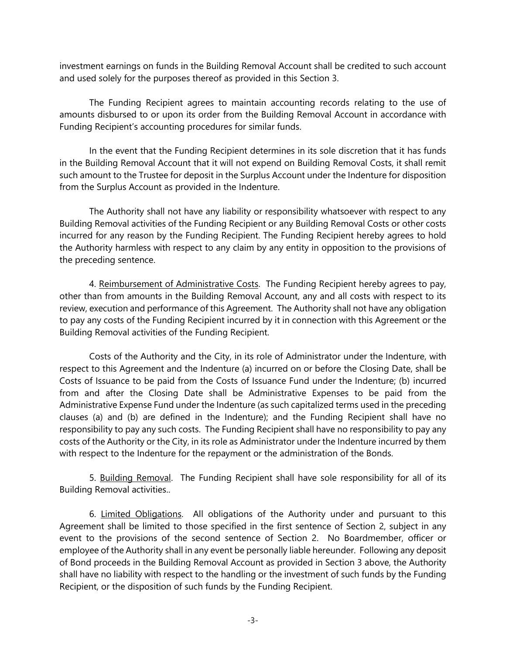investment earnings on funds in the Building Removal Account shall be credited to such account and used solely for the purposes thereof as provided in this Section 3.

The Funding Recipient agrees to maintain accounting records relating to the use of amounts disbursed to or upon its order from the Building Removal Account in accordance with Funding Recipient's accounting procedures for similar funds.

In the event that the Funding Recipient determines in its sole discretion that it has funds in the Building Removal Account that it will not expend on Building Removal Costs, it shall remit such amount to the Trustee for deposit in the Surplus Account under the Indenture for disposition from the Surplus Account as provided in the Indenture.

The Authority shall not have any liability or responsibility whatsoever with respect to any Building Removal activities of the Funding Recipient or any Building Removal Costs or other costs incurred for any reason by the Funding Recipient. The Funding Recipient hereby agrees to hold the Authority harmless with respect to any claim by any entity in opposition to the provisions of the preceding sentence.

4. Reimbursement of Administrative Costs. The Funding Recipient hereby agrees to pay, other than from amounts in the Building Removal Account, any and all costs with respect to its review, execution and performance of this Agreement. The Authority shall not have any obligation to pay any costs of the Funding Recipient incurred by it in connection with this Agreement or the Building Removal activities of the Funding Recipient.

Costs of the Authority and the City, in its role of Administrator under the Indenture, with respect to this Agreement and the Indenture (a) incurred on or before the Closing Date, shall be Costs of Issuance to be paid from the Costs of Issuance Fund under the Indenture; (b) incurred from and after the Closing Date shall be Administrative Expenses to be paid from the Administrative Expense Fund under the Indenture (as such capitalized terms used in the preceding clauses (a) and (b) are defined in the Indenture); and the Funding Recipient shall have no responsibility to pay any such costs. The Funding Recipient shall have no responsibility to pay any costs of the Authority or the City, in its role as Administrator under the Indenture incurred by them with respect to the Indenture for the repayment or the administration of the Bonds.

5. Building Removal. The Funding Recipient shall have sole responsibility for all of its Building Removal activities..

6. Limited Obligations. All obligations of the Authority under and pursuant to this Agreement shall be limited to those specified in the first sentence of Section 2, subject in any event to the provisions of the second sentence of Section 2. No Boardmember, officer or employee of the Authority shall in any event be personally liable hereunder. Following any deposit of Bond proceeds in the Building Removal Account as provided in Section 3 above, the Authority shall have no liability with respect to the handling or the investment of such funds by the Funding Recipient, or the disposition of such funds by the Funding Recipient.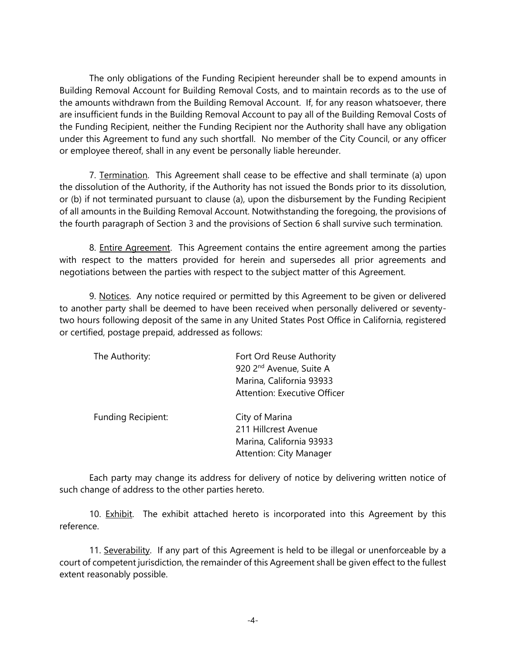The only obligations of the Funding Recipient hereunder shall be to expend amounts in Building Removal Account for Building Removal Costs, and to maintain records as to the use of the amounts withdrawn from the Building Removal Account. If, for any reason whatsoever, there are insufficient funds in the Building Removal Account to pay all of the Building Removal Costs of the Funding Recipient, neither the Funding Recipient nor the Authority shall have any obligation under this Agreement to fund any such shortfall. No member of the City Council, or any officer or employee thereof, shall in any event be personally liable hereunder.

7. Termination. This Agreement shall cease to be effective and shall terminate (a) upon the dissolution of the Authority, if the Authority has not issued the Bonds prior to its dissolution, or (b) if not terminated pursuant to clause (a), upon the disbursement by the Funding Recipient of all amounts in the Building Removal Account. Notwithstanding the foregoing, the provisions of the fourth paragraph of Section 3 and the provisions of Section 6 shall survive such termination.

8. Entire Agreement. This Agreement contains the entire agreement among the parties with respect to the matters provided for herein and supersedes all prior agreements and negotiations between the parties with respect to the subject matter of this Agreement.

9. Notices. Any notice required or permitted by this Agreement to be given or delivered to another party shall be deemed to have been received when personally delivered or seventytwo hours following deposit of the same in any United States Post Office in California, registered or certified, postage prepaid, addressed as follows:

| The Authority:            | Fort Ord Reuse Authority<br>920 2 <sup>nd</sup> Avenue, Suite A<br>Marina, California 93933<br><b>Attention: Executive Officer</b> |
|---------------------------|------------------------------------------------------------------------------------------------------------------------------------|
| <b>Funding Recipient:</b> | City of Marina<br>211 Hillcrest Avenue<br>Marina, California 93933<br><b>Attention: City Manager</b>                               |

Each party may change its address for delivery of notice by delivering written notice of such change of address to the other parties hereto.

10. Exhibit. The exhibit attached hereto is incorporated into this Agreement by this reference.

11. Severability. If any part of this Agreement is held to be illegal or unenforceable by a court of competent jurisdiction, the remainder of this Agreement shall be given effect to the fullest extent reasonably possible.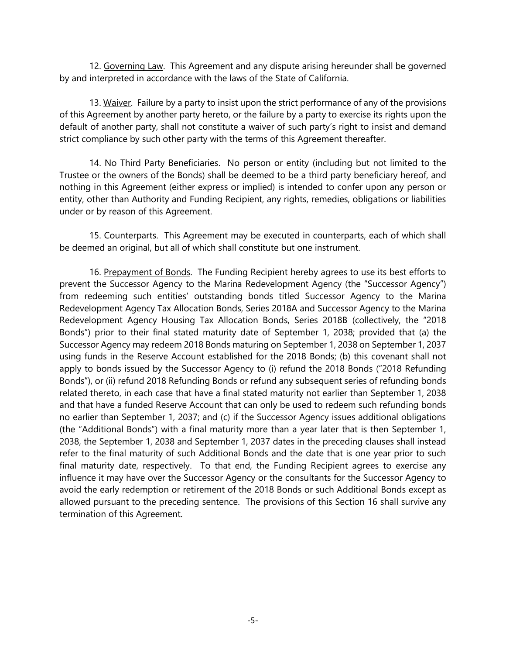12. Governing Law. This Agreement and any dispute arising hereunder shall be governed by and interpreted in accordance with the laws of the State of California.

13. Waiver. Failure by a party to insist upon the strict performance of any of the provisions of this Agreement by another party hereto, or the failure by a party to exercise its rights upon the default of another party, shall not constitute a waiver of such party's right to insist and demand strict compliance by such other party with the terms of this Agreement thereafter.

14. No Third Party Beneficiaries. No person or entity (including but not limited to the Trustee or the owners of the Bonds) shall be deemed to be a third party beneficiary hereof, and nothing in this Agreement (either express or implied) is intended to confer upon any person or entity, other than Authority and Funding Recipient, any rights, remedies, obligations or liabilities under or by reason of this Agreement.

15. Counterparts. This Agreement may be executed in counterparts, each of which shall be deemed an original, but all of which shall constitute but one instrument.

16. Prepayment of Bonds. The Funding Recipient hereby agrees to use its best efforts to prevent the Successor Agency to the Marina Redevelopment Agency (the "Successor Agency") from redeeming such entities' outstanding bonds titled Successor Agency to the Marina Redevelopment Agency Tax Allocation Bonds, Series 2018A and Successor Agency to the Marina Redevelopment Agency Housing Tax Allocation Bonds, Series 2018B (collectively, the "2018 Bonds") prior to their final stated maturity date of September 1, 2038; provided that (a) the Successor Agency may redeem 2018 Bonds maturing on September 1, 2038 on September 1, 2037 using funds in the Reserve Account established for the 2018 Bonds; (b) this covenant shall not apply to bonds issued by the Successor Agency to (i) refund the 2018 Bonds ("2018 Refunding Bonds"), or (ii) refund 2018 Refunding Bonds or refund any subsequent series of refunding bonds related thereto, in each case that have a final stated maturity not earlier than September 1, 2038 and that have a funded Reserve Account that can only be used to redeem such refunding bonds no earlier than September 1, 2037; and (c) if the Successor Agency issues additional obligations (the "Additional Bonds") with a final maturity more than a year later that is then September 1, 2038, the September 1, 2038 and September 1, 2037 dates in the preceding clauses shall instead refer to the final maturity of such Additional Bonds and the date that is one year prior to such final maturity date, respectively. To that end, the Funding Recipient agrees to exercise any influence it may have over the Successor Agency or the consultants for the Successor Agency to avoid the early redemption or retirement of the 2018 Bonds or such Additional Bonds except as allowed pursuant to the preceding sentence. The provisions of this Section 16 shall survive any termination of this Agreement.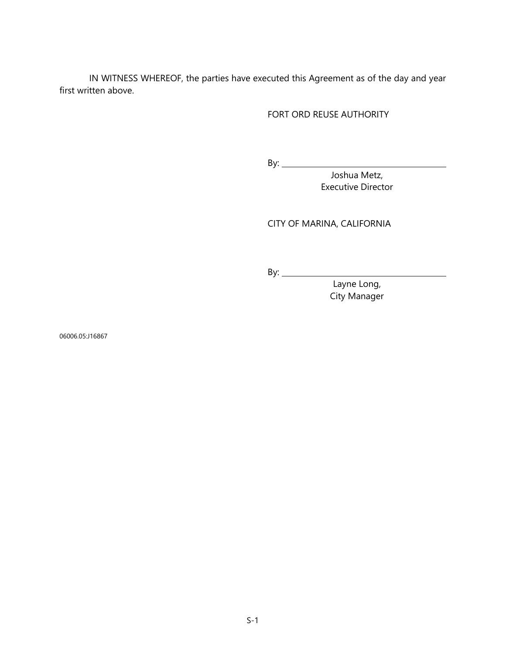IN WITNESS WHEREOF, the parties have executed this Agreement as of the day and year first written above.

#### FORT ORD REUSE AUTHORITY

By:

Joshua Metz, Executive Director

CITY OF MARINA, CALIFORNIA

By:

Layne Long, City Manager

06006.05:J16867